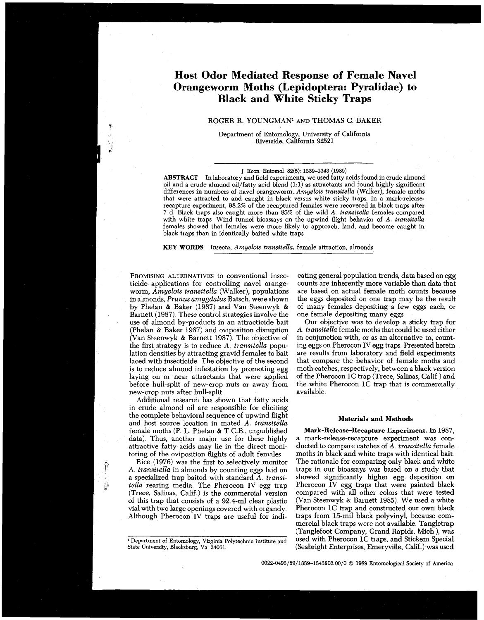# **Host Odor Mediated Response of Female Navel Orangeworm Moths (Lepidoptera: Pyralidae) to Black and White Sticky Traps**

## ROGER **R** YOUNGMAN1 AND THOMAS C BAKER

Department of Entomology, University of California Riverside, California 92521

**ABSTRACT** In laboratory and field experiments, we used fatty acids found in crude almond oil and a crude almond oil/fatty acid blend (1:l) as attractants and found highly significant differences in numbers of navel orangeworm, *Amyelois transitella* (Walker), female moths that were attracted to and caught in black versus white sticky traps. In a mark-releaserecapture experiment, 98 **2%** of the recaptured females were recovered in black traps after **7** d Black traps also caught more than 85% of the wild *A transitella* females compared with white traps Wind tunnel bioassays on the upwind flight behavior of *A transitella*  females showed that females were more likely to appioach, land, and become caught in black traps than in identically baited white traps

**KEY WORDS** Insecta, *Amyelois transitella,* female attraction, almonds

PROMISING ALTERNATIVES to conventional insecticide applications for controlling navel orangeworm, *Amyelois transitella* (Walker), populations in almonds, *Prunus amygdalus* Batsch, were shown by Phelan & Baker (1987) and Van Steenwyk & Barnett (1987). These control strategies involve the use of almond by-products in an attracticide bait (Phelan & Baker 1987) and oviposition disruption (Van Steenwyk & Barnett 1987) The objective of the first strategy is to reduce *A tiansitella* population densities by attracting gravid females to bait laced with insecticide The objective of the second is to reduce almond infestation by promoting egg laying on or near attractants that were applied before hull-split of new-crop nuts or away from new-crop nuts after hull-split

**v** 

Additional research has shown that fatty acids in crude almond oil are responsible for eliciting the complete behavioral sequence of upwind flight and host source location in mated A *transitella*  female moths (P L Phelan & T C.B , unpublished data) Thus, another major use for these highly attractive fatty acids may lie in the direct monitoring of the oviposition flights of adult females

Rice (1976) was the first to selectively monitor *A transitella* in almonds by counting eggs laid on a specialized trap baited with standard *A transitella* rearing media The Pherocon IV egg trap (Trece, Salinas, Calif ) is the commercial version of this trap that consists of a 92 4-ml clear plastic vial with two large openings covered with organdy Although Pherocon IV traps are useful for indicating general population trends, data based on egg counts are inherently more variable than data that are based on actual female moth counts because the eggs deposited on one trap may be the result of many females depositing a few eggs each, or one female depositing many eggs

Our objective was to develop a sticky trap for A *transitella* female moths that could be used either in conjunction with, or as an alternative to, counting eggs on Pherocon IV egg traps Presented herein are results from laboratory and field experiments that compare the behavior of female moths and moth catches, respectively, between a black version of the Pherocon 1C trap (Trece, Salinas, Calif ) and the white Pherocon 1C trap that is commercially available

#### Materials and Methods

Mark-Release-Recapture Experiment. In 1987, a mark-release-recapture experiment was conducted to compare catches of A *transitella* female moths in black and white traps with identical bait The rationale for comparing only black and white traps in our bioassays was based on a study that showed significantly higher egg deposition on Pherocon IV egg traps that were painted black compared with all other colors that were tested (Van Steenwyk & Barnett 1985) We used a white Pherocon 1C trap and constructed our own black traps from 15-mil black polyvinyl, because commercial black traps were not available Tangletrap (Tanglefoot Company, Grand Rapids, Mich ), was used with Pherocon 1C traps, and Stickem Special (Seabright Enterprises, Emeryville, Calif ) was used

**0022-0493/89/1339-1343\$02** 00/0 @ 1989 Entomological Society of America

**<sup>J</sup>**Econ Entomol 82(5): 1339-1343 (1989)

<sup>&#</sup>x27; Department of Entomology, Virginia Polytechnic Institute and State University, Blacksburg, Va 24061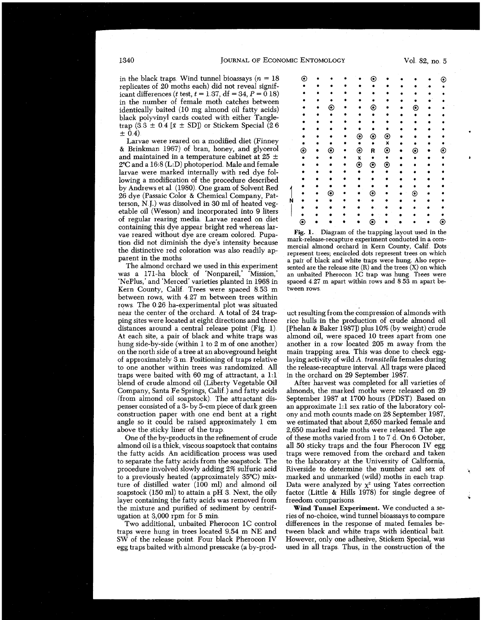in the black traps. Wind tunnel bioassays ( $n = 18$ ) replicates of  $20$  moths each) did not reveal significant differences (t test,  $t = 1.37$ , df = 34,  $P = 0.18$ ) in the number of female moth catches between identically baited  $(10 \text{ mg}$  almond oil fatty acids) black polyvinyl cards coated with either Tangle- \*\*\*\*\*\*\*\*\*\*\* trap (3.3 ± 0.4 [ $\bar{x}$  ± SD]) or Stickem Special (2.6 ± 0.4).

Larvae were reared on a modified diet (Finney  $& Brinkman$  1967) of bran, honey, and glycerol and maintained in a temperature cabinet at  $25 \pm$ 2°C and a 16:8 (L:D) photoperiod. Male and female larvae were marked internally with red dye follarvae were marked internally with red dye fol- ~~\*~~~~\*~~~ lowing a modification of the procedure described by Andrews et a1 (1980) One gram of Solvent Red \*\*\*\*\*\*\*\*\*\*\* 26 dye (Passaic Color & Chemical Company, Patterson, N J.) was dissolved in 30 ml of heated veg-<br>etable oil (Wesson) and incorporated into 9 liters<br>of regular rearing media. Larvae reared on diet containing this dye appear bright red whereas lar-<br>vae reared without dye are cream colored Pupa-<br>tion did not diminish the dye's intensity because<br> $\frac{\text{mark-release-recapture experiment conducted in a com$ the distinctive red coloration was also readily ap-<br>the distinctive red coloration was also readily apthe distinctive red coloration was also readily ap-<br>present trees; encircled dots represent trees on which<br>contract the property of block and white trops were bung. Also repre-

was a 171-ha block of 'Nonpareil,' 'Mission,' an unbaited Pherocon 1C trap was hung Trees were<br>'NePlus,' and 'Merced' varieties planted in 1968 in spaced 4.27 m apart within rows and 8.53 m apart be-'NePlus,' and 'Merced' varieties planted in 1968 in Kern County, Calif. Trees were spaced 8.53 m tween rows. between rows, with 4 27 m between trees within rows. The 0.26 ha-experimental plot was situated<br>near the center of the orchard. A total of 24 trapnear the center of the orchard A total of 24 trap- uct resulting from the compression of almonds with ping sites were located at eight directions and three rice hulls in the production of crude almond oil ping sites were located at eight directions and three rice hulls in the production of crude almond oil distances around a central release point (Fig. 1). [Phelan & Baker 1987]) plus 10% (by weight) crude<br>At each site, a pair of black and white traps was almond oil, were spaced 10 trees apart from one At each site, a pair of black and white traps was almond oil, were spaced 10 trees apart from one hung side-by-side (within 1 to 2 m of one another) another in a row located 205 m away from the on the north side of a tree at an aboveground height of approximately 3 m. Positioning of traps relative of approximately 3 m. Positioning of traps relative laying activity of wild A *transitella* females during to one another within trees was randomized. All the release-recapture interval. All traps were placed traps were baited with 60 mg of attractant, a 1:1 in the orchard on 29 September 1987.<br>blend of crude almond oil (Liberty Vegetable Oil after harvest was completed for all varieties of blend of crude almond oil (Liberty Vegetable Oil Company, Santa Fe Springs, Calif.) and fatty acids Company, Santa Fe Springs, Calif.) and fatty acids almonds, the marked moths were released on 29 (from almond oil soapstock). The attractant dis-<br>September 1987 at 1700 hours (PDST). Based on (from almond oil soapstock). The attractant dis-<br>
penser consisted of a 3- by 5-cm piece of dark green<br>
an approximate 1:1 sex ratio of the laboratory colconstruction paper with one end bent at a right angle so it could be raised approximately 1 cm

One of the by-products in the refinement of crude almond oil is a thick, viscous soapstock that contains almond oil is a thick, viscous soapstock that contains all 50 sticky traps and the four Pherocon IV egg to separate the fatty acids from the soapstock The procedure involved slowly adding 2% sulfuric acid Riverside to determine the number and sex of to a previously heated (approximately 35<sup>o</sup>C) mix- marked and unmarked (wild) moths in each trap. to a previously heated (approximately 35°C) mix-<br>ture of distilled water (100 ml) and almond oil soapstock (150 ml) to attain a pH 3. Next, the oily factor (Little  $\&$  Hills 1978) have containing the fatty acids was removed from freedom comparisons. layer containing the fatty acids was removed from freedom comparisons.<br>the mixture and purified of sediment by centrif-<br>**Wind Tunnel Experiment.** We conducted a sethe mixture and purified of sediment by centrif- ugation at 3,000 rpm for 5 min.

Two additional, unbaited Pherocon 1C control traps were hung in trees located 9.54 m NE and SW of the release point. Four black Pherocon IV However, only one adhesive, Stickem Special, was egg traps baited with almond presscake (a by-prod-used in all traps. Thus, in the construction of the egg traps baited with almond presscake (a by-prod-

| $_{\odot}$ |   |         | $\left( \bullet \right)$ |            |         | O   |  |
|------------|---|---------|--------------------------|------------|---------|-----|--|
|            |   |         |                          |            |         |     |  |
|            |   |         |                          |            |         |     |  |
|            |   |         |                          |            |         |     |  |
|            | ◉ | ٠       | ◉                        |            | ◉       |     |  |
|            |   |         |                          |            |         |     |  |
|            |   |         |                          |            |         |     |  |
|            |   | ٥       |                          |            |         |     |  |
|            |   | $\odot$ | $\odot$                  | $_{\odot}$ |         |     |  |
|            |   |         | ٠                        | X          |         |     |  |
| $\odot$    | ◉ | $\odot$ | R                        | $\odot$    | ⊙       | ره) |  |
|            |   | X       | $\bullet$                |            |         |     |  |
|            |   | $\odot$ | $\odot$                  | $\odot$    |         |     |  |
|            |   |         | $\bullet$                |            |         |     |  |
|            |   |         |                          |            |         |     |  |
|            |   |         |                          |            |         |     |  |
|            | ⊙ |         | ⊙                        |            | $\odot$ |     |  |
|            |   |         |                          |            |         |     |  |
|            |   |         |                          |            |         |     |  |
|            |   |         |                          |            |         |     |  |
| ◉          |   |         | ⊙                        |            |         | ◉   |  |

it is the moths a pair of black and white traps were hung. Also repre-<br>The almond orchard we used in this experiment sented are the release site (R) and the trees (X) on which<br>as a 171-ha block of 'Nonpareil,' 'Mission,' a

another in a row located 205 m away from the main trapping area. This was done to check eggthe release-recapture interval All traps were placed<br>in the orchard on 29 September 1987.

an approximate 1:1 sex ratio of the laboratory col-<br>ony and moth counts made on 28 September 1987, angle so it could be raised approximately 1 cm we estimated that about 2,650 marked female and above the sticky liner of the trap. 2,650 marked male moths were released. The age 2,650 marked male moths were released. The age of these moths varied from 1 to 7 d. On 6 October, traps were removed from the orchard and taken<br>to the laboratory at the University of California, Data were analyzed by  $\chi^2$  using Yates correction factor (Little & Hills 1978) for single degree of

> ries of no-choice, wind tunnel bioassays to compare<br>differences in the response of mated females between black and white traps with identical bait.<br>However, only one adhesive, Stickem Special, was

1340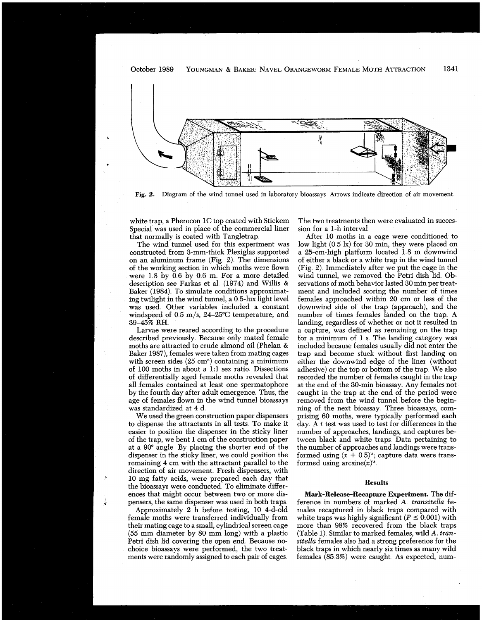

**Fig. 2.** Diagram of the wind tunnel used in laboratory bioassays Arrows indicate direction of air movement.

white trap, a Pherocon 1C top coated with Stickem Special was used in place of the commercial liner that normally is coated with Tangletrap

The wind tunnel used for this experiment was constructed from 3-mm-thick Plexiglas supported on an aluminum frame (Fig 2) The dimensions of the working section in which moths were flown were 1 8 by 0 6 by 0 6 m. For a more detailed description see Farkas et a1 (1974) and Willis & Baker (1984). To simulate conditions approximating twilight in the wind tunnel, a 0 5-lux light level was used Other variables included a constant windspeed of  $0.5 \text{ m/s}$ ,  $24-25^{\circ}\text{C}$  temperature, and 39-45% RH

Larvae were reared according to the procedure described previously. Because only mated female moths are attracted to crude almond oil (Phelan & Baker 1987), females were taken from mating cages with screen sides  $(25 \text{ cm}^3)$  containing a minimum of 100 moths in about a 1:1 sex ratio. Dissections of differentially aged female moths revealed that all females contained at least one spermatophore by the fourth day after adult emergence. Thus, the age of females flown in the wind tunnel bioassays was standardized at 4 d

We used the green construction paper dispensers to dispense the attractants in all tests To make it easier to position the dispenser in the sticky liner of the trap, we bent 1 cm of the construction paper at a 90' angle By placing the shorter end of the dispenser in the sticky liner, we could position the remaining 4 cm with the attractant parallel to the direction of air movement Fresh dispensers, with 10 mg fatty acids, were prepared each day that ences that might occur between two or more dispensers, the same dispenser was used in both traps.

Approximately 2 h before testing, 10 4-d-old female moths were transferred individually from their mating cage to a small, cylindrical screen cage (55 mm diameter by 80 mm long) with a plastic Petri dish lid covering the open end Because nochoice bioassays were performed, the two treatments were randomly assigned to each pair of cages

The two treatments then were evaluated in succession for a 1-h interval

After 10 moths in a cage were conditioned to low light (0 5 lx) for 30 min, they were placed on a 25-cm-high platform located 18 m downwind of either a black or a white trap in the wind tunnel (Fig 2) Immediately after we put the cage in the wind tunnel, we removed the Petri dish lid Obser vations of moth behavior lasted 30 min per treatment and included scoring the number of times females approached within 20 cm or less of the downwind side of the trap (approach), and the number of times females landed on the trap. A landing, regardless of whether or not it resulted in a capture, was defined as remaining on the trap for a minimum of 1 s The landing category was included because females usually did not enter the trap and become stuck without first landing on either the downwind edge of the liner (without adhesive) or the top or bottom of the trap We also recorded the number of females caught in the trap at the end of the 30-min bioassay Any females not caught in the trap at the end of the period were removed from the wind tunnel before the beginning of the next bioassay Three bioassays, comprising 60 moths, were typically performed each day A *t* test was used to test for differences in the number of approaches, landings, and captures between black and white traps Data pertaining to the number of approaches and landings were transformed using  $(x + 0.5)^n$ ; capture data were transformed using  $arcsine(x)^{\frac{k}{2}}$ 

# **Results**

**Mark-Release-Recapture Experiment.** The difference in numbers of marked A *transitella* females recaptured in black traps compared with white traps was highly significant ( $P \leq 0.001$ ) with more than 98% recovered from the black traps (Table 1) Similar to marked females, wild A. *transitella* females also had a strong preference for the black traps in which nearly six times as many wild females (85 3%) were caught As expected, num-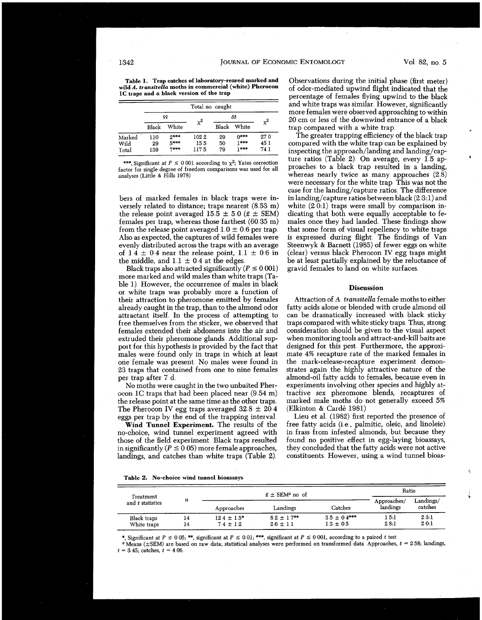#### **JOURNAL OF ECONOMIC ENTOMOLOGY**

**Table 1,. Trap catches of laboratory-reared marked and wild A.** *transitella* **moths in commercial (white) Pherocon 1C traps and a black version of the trap** 

|        | Total no caught |        |          |       |        |      |  |
|--------|-----------------|--------|----------|-------|--------|------|--|
|        |                 | 99     | $\chi^2$ | රීරී  | $x^2$  |      |  |
|        | Black           | White  |          | Black | White  |      |  |
| Marked | 110             | 9***   | 1022     | 29    | $0***$ | 27.0 |  |
| Wild   | 29              | 5***   | 155      | 50    | 1***   | 45.1 |  |
| Total  | 139             | $7***$ | 117.5    | 79    | 1***   | 74.1 |  |

\*\*\*, Significant at  $P \le 0.001$  according to  $\chi^2$ ; Yates correction factor for single degree of freedom comparisons was used for all analyses (Little & Hills **1978)** 

bers of marked females in black traps were inversely related to distance; traps nearest (8 53 m) the release point averaged  $15.\overline{5} \pm 5.0$  ( $\overline{x} \pm \text{SEM}$ ) females per trap, whereas those farthest (60 35 m) from the release point averaged  $1.0 \pm 0.6$  per trap. Also as expected, the captures of wild females were evenly distributed across the traps with an average of  $1.4 \pm 0.4$  near the release point,  $1.1 \pm 0.6$  in the middle, and  $1.1 \pm 0.4$  at the edges.

Black traps also attracted significantly ( $P \le 0.001$ ) more marked and wild males than white traps (Table 1) However, the occurrence of males in black or white traps was probably more a function of their attraction to pheromone emitted by females already caught in the trap, than to the almond odor attractant itself. In the process of attempting to free themselves from the sticker, we observed that females extended their abdomens into the air and extruded their pheromone glands Additional support for this hypothesis is provided by the fact that males were found only in traps in which at least one female was present No males were found in 23 traps that contained from one to nine females per trap after 7 d

No moths were caught in the two unbaited Pherocon 1C traps that had been placed near (9 54 m) the release point at the same time as the other traps The Pherocon IV egg traps averaged  $32.8 \pm 20.4$ eggs per trap by the end of the trapping interval

**Wind Tunnel Experiment.** The results of the no-choice, wind tunnel experiment agreed with those of the field experiment Black traps resulted in significantly  $(P \le 0.05)$  more female approaches, landings, and catches than white traps (Table 2)

Observations during the initial phase (first meter) of odor-mediated upwind flight indicated that the percentage of females flying upwind to the black and white traps was similar However, significantly more females were observed approaching to within 20 cm or less of the downwind entrance of a black trap compared with a white trap.

The greater trapping efficiency of the black trap compared with the white trap can be explained by inspecting the approach/landing and landing/capture ratios (Table 2). On average, every 1.5 approaches to a black trap resulted in a landing, whereas nearly twice as many approaches  $(2.8)$ were necessary for the white trap This was not the case for the landing/capture ratios. The difference in landing/capture ratios between black (2 3:l) and white  $(2.0.1)$  traps were small by comparison indicating that both were equally acceptable to females once they had landed These findings show that some form of visual repellency to white traps is expressed during flight The findings of Van Steenwyk & Barnett (1985) of fewer eggs on white (clear) versus black Pherocon IV egg traps might be at least partially explained by the reluctance of gravid females to land on white surfaces

### **Discussion**

Attraction of *A transitella* female moths to either fatty acids alone or blended with crude almond oil can be dramatically increased with black sticky traps compared with white sticky traps. Thus, strong consideration should be given to the visual aspect when monitoring tools and attract-and-kill baits are designed for this pest. Furthermore, the approximate 4% recapture rate of the marked females in the mark-release-recapture experiment demonstrates again the highly attractive nature of the almond-oil fatty acids to females, because even in experiments involving other species and highly attractive sex pheromone blends, recaptures of marked male moths do not generally exceed 5% (Elkinton & Card6 1981)

Lieu et a1 (1982) first reported the presence of free fatty acids (i e , palmitic, oleic, and linoleic) in frass from infested almonds, but because they found no positive effect in egg-laying bioassays, they concluded that the fatty acids were not active constituents However, using a wind tunnel bioas-

**7** 

**Table 2. No-choice wind tunnel bioassays** 

| Treatment<br>and t statistics |    |                  | Ratio         |                  |          |         |
|-------------------------------|----|------------------|---------------|------------------|----------|---------|
|                               | n  |                  | Approaches/   | Landings/        |          |         |
|                               |    | Approaches       | Landings      | Catches          | landings | catches |
| Black traps                   | 14 | $12.4 \pm 1.5^*$ | $82 \pm 17**$ | $3.5 \pm 0.4***$ | 1 5:1    | 2.3:1   |
| White traps                   | 14 | $74 \pm 12$      | $2.6 \pm 1.1$ | $1.3 \pm 0.5$    | 28:1     | 20:1    |

\*, Significant at P **5 0 05;** \*\*, significant at P **5 0 01;** \*\*\*, significant at P **5 0 001,** according to a paired *t* test

a Means (?SEM) are based on raw data; statistical analyses **were** performed on transformed data Approaches, **t** = **2 58;** landings,  $t = 3.45$ ; catches,  $t = 4.06$ 

Vol. 82, no. 5

1342